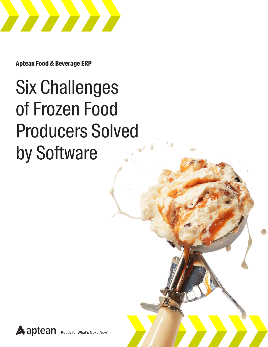

**Aptean Food & Beverage ERP**

# Six Challenges of Frozen Food Producers Solved by Software

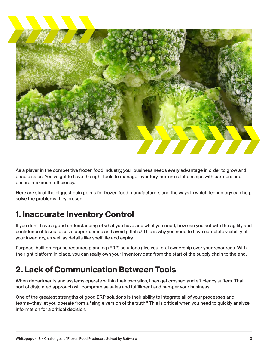

As a player in the competitive frozen food industry, your business needs every advantage in order to grow and enable sales. You've got to have the right tools to manage inventory, nurture relationships with partners and ensure maximum efficiency.

Here are six of the biggest pain points for frozen food manufacturers and the ways in which technology can help solve the problems they present.

#### **1. Inaccurate Inventory Control**

If you don't have a good understanding of what you have and what you need, how can you act with the agility and confidence it takes to seize opportunities and avoid pitfalls? This is why you need to have complete visibility of your inventory, as well as details like shelf life and expiry.

Purpose-built enterprise resource planning (ERP) solutions give you total ownership over your resources. With the right platform in place, you can really own your inventory data from the start of the supply chain to the end.

#### **2. Lack of Communication Between Tools**

When departments and systems operate within their own silos, lines get crossed and efficiency suffers. That sort of disjointed approach will compromise sales and fulfillment and hamper your business.

One of the greatest strengths of good ERP solutions is their ability to integrate all of your processes and teams—they let you operate from a "single version of the truth." This is critical when you need to quickly analyze information for a critical decision.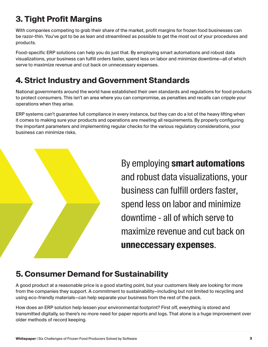### **3. Tight Profit Margins**

With companies competing to grab their share of the market, profit margins for frozen food businesses can be razor-thin. You've got to be as lean and streamlined as possible to get the most out of your procedures and products.

Food-specific ERP solutions can help you do just that. By employing smart automations and robust data visualizations, your business can fulfill orders faster, spend less on labor and minimize downtime—all of which serve to maximize revenue and cut back on unnecessary expenses.

### **4. Strict Industry and Government Standards**

National governments around the world have established their own standards and regulations for food products to protect consumers. This isn't an area where you can compromise, as penalties and recalls can cripple your operations when they arise.

ERP systems can't guarantee full compliance in every instance, but they can do a lot of the heavy lifting when it comes to making sure your products and operations are meeting all requirements. By properly configuring the important parameters and implementing regular checks for the various regulatory considerations, your business can minimize risks.



By employing **smart automations** and robust data visualizations, your business can fulfill orders faster, spend less on labor and minimize downtime - all of which serve to maximize revenue and cut back on **unneccessary expenses**.

#### **5. Consumer Demand for Sustainability**

A good product at a reasonable price is a good starting point, but your customers likely are looking for more from the companies they support. A commitment to sustainability—including but not limited to recycling and using eco-friendly materials—can help separate your business from the rest of the pack.

How does an ERP solution help lessen your environmental footprint? First off, everything is stored and transmitted digitally, so there's no more need for paper reports and logs. That alone is a huge improvement over older methods of record keeping.